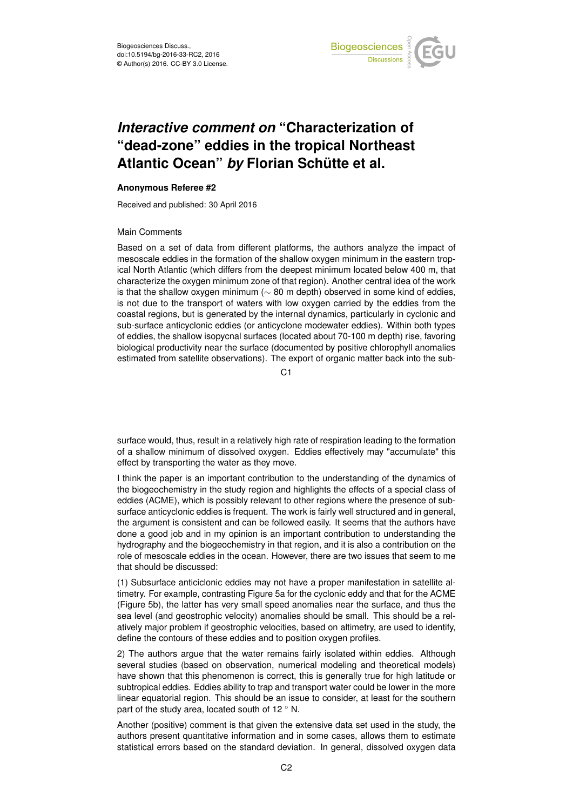

## *Interactive comment on* **"Characterization of "dead-zone" eddies in the tropical Northeast Atlantic Ocean"** *by* **Florian Schütte et al.**

## **Anonymous Referee #2**

Received and published: 30 April 2016

## Main Comments

Based on a set of data from different platforms, the authors analyze the impact of mesoscale eddies in the formation of the shallow oxygen minimum in the eastern tropical North Atlantic (which differs from the deepest minimum located below 400 m, that characterize the oxygen minimum zone of that region). Another central idea of the work is that the shallow oxygen minimum ( $\sim$  80 m depth) observed in some kind of eddies, is not due to the transport of waters with low oxygen carried by the eddies from the coastal regions, but is generated by the internal dynamics, particularly in cyclonic and sub-surface anticyclonic eddies (or anticyclone modewater eddies). Within both types of eddies, the shallow isopycnal surfaces (located about 70-100 m depth) rise, favoring biological productivity near the surface (documented by positive chlorophyll anomalies estimated from satellite observations). The export of organic matter back into the sub-

C1

surface would, thus, result in a relatively high rate of respiration leading to the formation of a shallow minimum of dissolved oxygen. Eddies effectively may "accumulate" this effect by transporting the water as they move.

I think the paper is an important contribution to the understanding of the dynamics of the biogeochemistry in the study region and highlights the effects of a special class of eddies (ACME), which is possibly relevant to other regions where the presence of subsurface anticyclonic eddies is frequent. The work is fairly well structured and in general, the argument is consistent and can be followed easily. It seems that the authors have done a good job and in my opinion is an important contribution to understanding the hydrography and the biogeochemistry in that region, and it is also a contribution on the role of mesoscale eddies in the ocean. However, there are two issues that seem to me that should be discussed:

(1) Subsurface anticiclonic eddies may not have a proper manifestation in satellite altimetry. For example, contrasting Figure 5a for the cyclonic eddy and that for the ACME (Figure 5b), the latter has very small speed anomalies near the surface, and thus the sea level (and geostrophic velocity) anomalies should be small. This should be a relatively major problem if geostrophic velocities, based on altimetry, are used to identify, define the contours of these eddies and to position oxygen profiles.

2) The authors argue that the water remains fairly isolated within eddies. Although several studies (based on observation, numerical modeling and theoretical models) have shown that this phenomenon is correct, this is generally true for high latitude or subtropical eddies. Eddies ability to trap and transport water could be lower in the more linear equatorial region. This should be an issue to consider, at least for the southern part of the study area, located south of 12 $\degree$  N.

Another (positive) comment is that given the extensive data set used in the study, the authors present quantitative information and in some cases, allows them to estimate statistical errors based on the standard deviation. In general, dissolved oxygen data